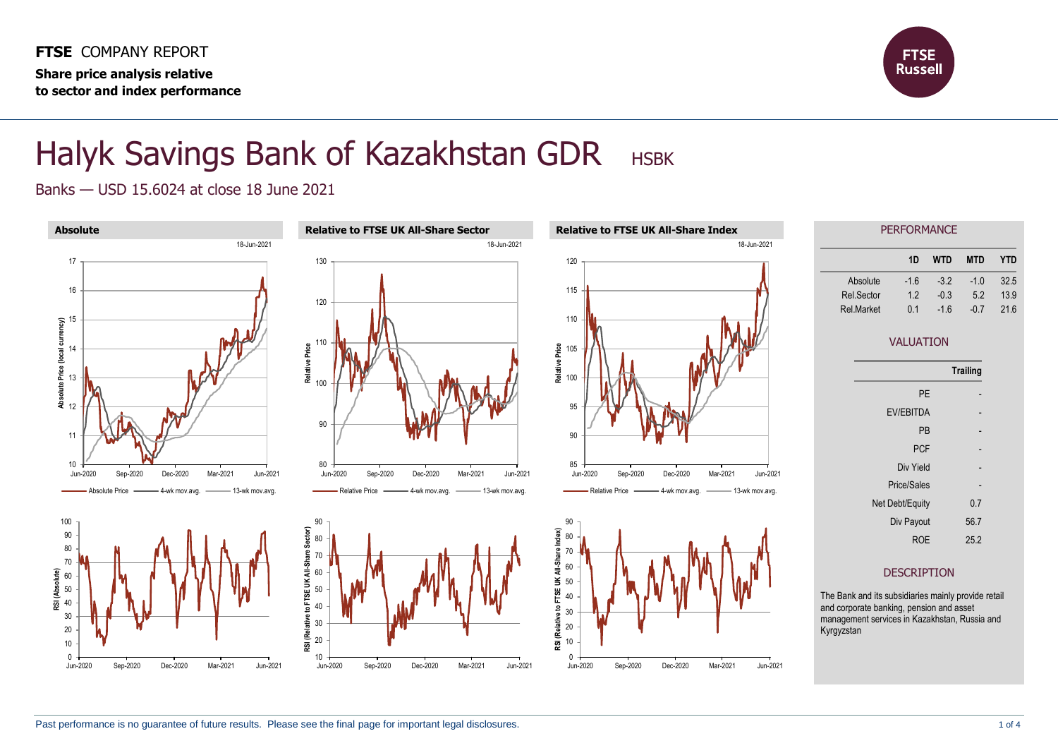

## Halyk Savings Bank of Kazakhstan GDR HSBK

Banks — USD 15.6024 at close 18 June 2021

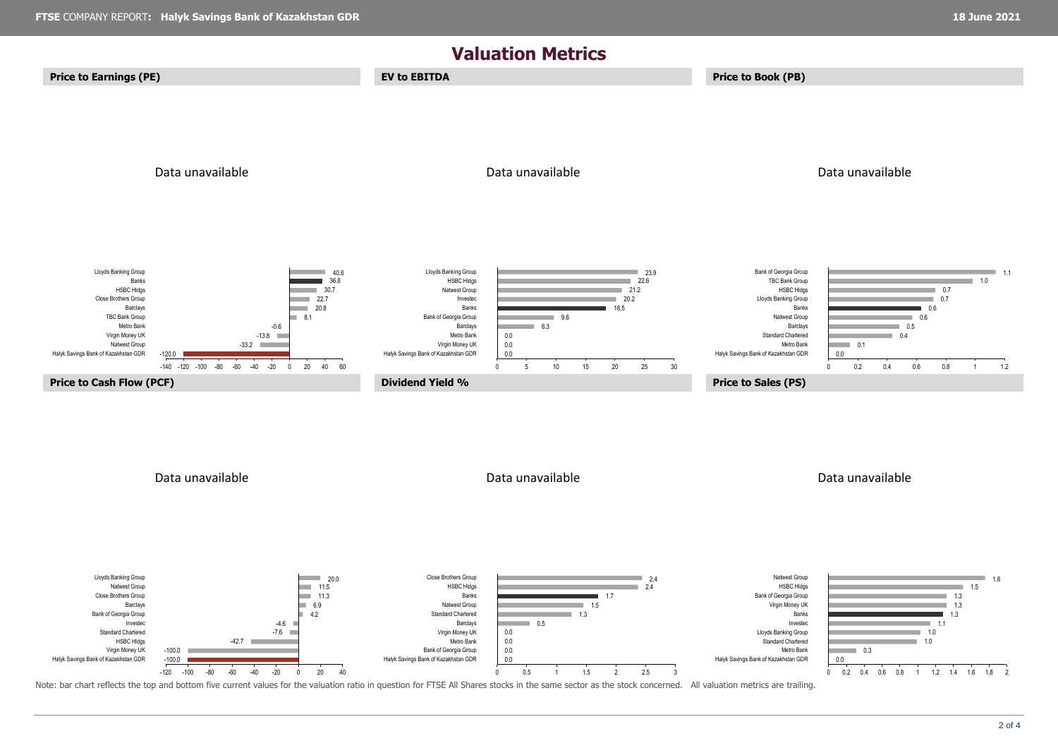

Note: bar chart reflects the top and bottom five current values for the valuation ratio in question for FTSE All Shares stocks in the same sector as the stock concerned. All valuation metrics are trailing.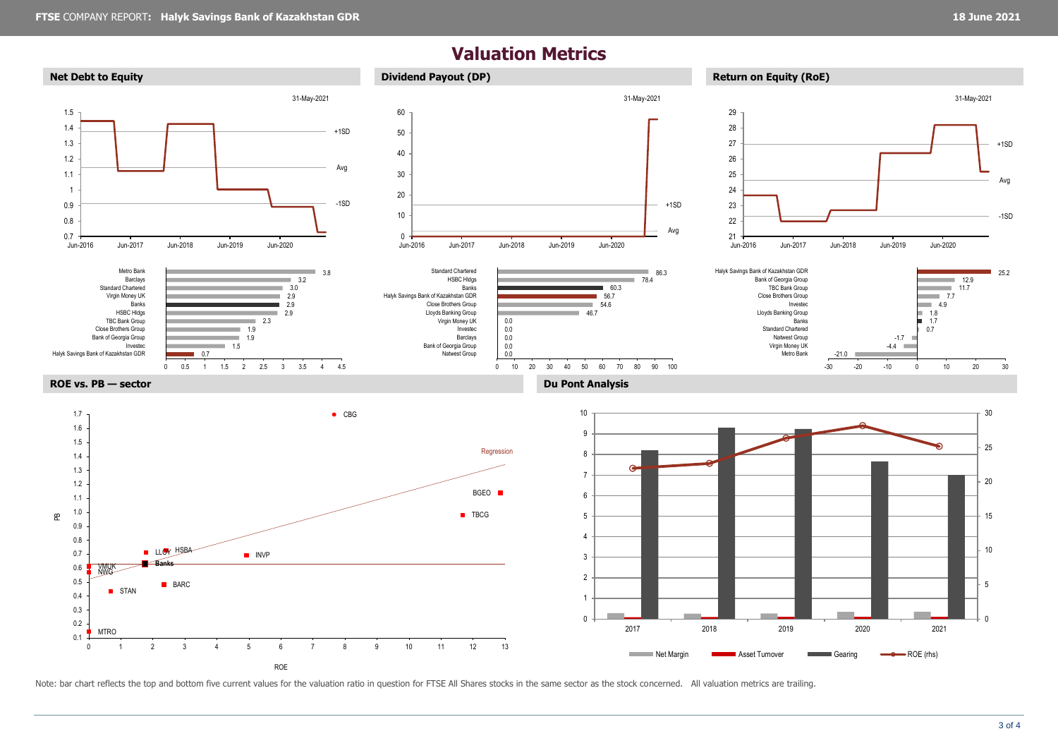## **Valuation Metrics**



Note: bar chart reflects the top and bottom five current values for the valuation ratio in question for FTSE All Shares stocks in the same sector as the stock concerned. All valuation metrics are trailing.